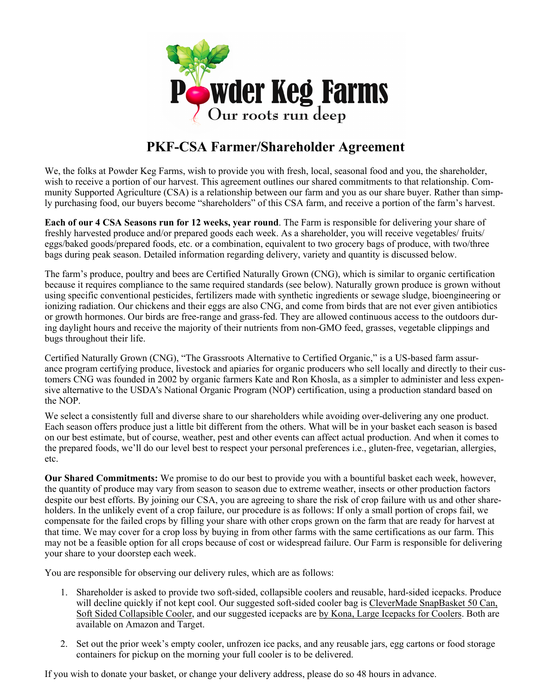

## **PKF-CSA Farmer/Shareholder Agreement**

We, the folks at Powder Keg Farms, wish to provide you with fresh, local, seasonal food and you, the shareholder, wish to receive a portion of our harvest. This agreement outlines our shared commitments to that relationship. Community Supported Agriculture (CSA) is a relationship between our farm and you as our share buyer. Rather than simply purchasing food, our buyers become "shareholders" of this CSA farm, and receive a portion of the farm's harvest.

**Each of our 4 CSA Seasons run for 12 weeks, year round**. The Farm is responsible for delivering your share of freshly harvested produce and/or prepared goods each week. As a shareholder, you will receive vegetables/ fruits/ eggs/baked goods/prepared foods, etc. or a combination, equivalent to two grocery bags of produce, with two/three bags during peak season. Detailed information regarding delivery, variety and quantity is discussed below.

The farm's produce, poultry and bees are Certified Naturally Grown (CNG), which is similar to organic certification because it requires compliance to the same required standards (see below). Naturally grown produce is grown without using specific conventional pesticides, fertilizers made with synthetic ingredients or sewage sludge, bioengineering or ionizing radiation. Our chickens and their eggs are also CNG, and come from birds that are not ever given antibiotics or growth hormones. Our birds are free-range and grass-fed. They are allowed continuous access to the outdoors during daylight hours and receive the majority of their nutrients from non-GMO feed, grasses, vegetable clippings and bugs throughout their life.

Certified Naturally Grown (CNG), "The Grassroots Alternative to Certified Organic," is a US-based farm assurance program certifying produce, livestock and apiaries for organic producers who sell locally and directly to their customers CNG was founded in 2002 by organic farmers Kate and Ron Khosla, as a simpler to administer and less expensive alternative to the USDA's National Organic Program (NOP) certification, using a production standard based on the NOP.

We select a consistently full and diverse share to our shareholders while avoiding over-delivering any one product. Each season offers produce just a little bit different from the others. What will be in your basket each season is based on our best estimate, but of course, weather, pest and other events can affect actual production. And when it comes to the prepared foods, we'll do our level best to respect your personal preferences i.e., gluten-free, vegetarian, allergies, etc.

**Our Shared Commitments:** We promise to do our best to provide you with a bountiful basket each week, however, the quantity of produce may vary from season to season due to extreme weather, insects or other production factors despite our best efforts. By joining our CSA, you are agreeing to share the risk of crop failure with us and other shareholders. In the unlikely event of a crop failure, our procedure is as follows: If only a small portion of crops fail, we compensate for the failed crops by filling your share with other crops grown on the farm that are ready for harvest at that time. We may cover for a crop loss by buying in from other farms with the same certifications as our farm. This may not be a feasible option for all crops because of cost or widespread failure. Our Farm is responsible for delivering your share to your doorstep each week.

You are responsible for observing our delivery rules, which are as follows:

- 1. Shareholder is asked to provide two soft-sided, collapsible coolers and reusable, hard-sided icepacks. Produce will decline quickly if not kept cool. Our suggested soft-sided cooler bag is CleverMade SnapBasket 50 Can, Soft Sided Collapsible Cooler, and our suggested icepacks are by Kona, Large Icepacks for Coolers. Both are available on Amazon and Target.
- 2. Set out the prior week's empty cooler, unfrozen ice packs, and any reusable jars, egg cartons or food storage containers for pickup on the morning your full cooler is to be delivered.

If you wish to donate your basket, or change your delivery address, please do so 48 hours in advance.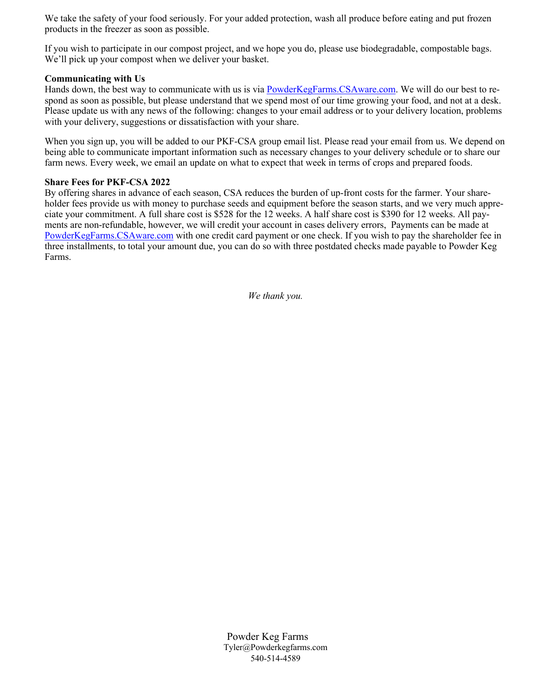We take the safety of your food seriously. For your added protection, wash all produce before eating and put frozen products in the freezer as soon as possible.

If you wish to participate in our compost project, and we hope you do, please use biodegradable, compostable bags. We'll pick up your compost when we deliver your basket.

## **Communicating with Us**

Hands down, the best way to communicate with us is via PowderKegFarms.CSAware.com. We will do our best to respond as soon as possible, but please understand that we spend most of our time growing your food, and not at a desk. Please update us with any news of the following: changes to your email address or to your delivery location, problems with your delivery, suggestions or dissatisfaction with your share.

When you sign up, you will be added to our PKF-CSA group email list. Please read your email from us. We depend on being able to communicate important information such as necessary changes to your delivery schedule or to share our farm news. Every week, we email an update on what to expect that week in terms of crops and prepared foods.

## **Share Fees for PKF-CSA 2022**

By offering shares in advance of each season, CSA reduces the burden of up-front costs for the farmer. Your shareholder fees provide us with money to purchase seeds and equipment before the season starts, and we very much appreciate your commitment. A full share cost is \$528 for the 12 weeks. A half share cost is \$390 for 12 weeks. All payments are non-refundable, however, we will credit your account in cases delivery errors, Payments can be made at PowderKegFarms.CSAware.com with one credit card payment or one check. If you wish to pay the shareholder fee in three installments, to total your amount due, you can do so with three postdated checks made payable to Powder Keg Farms.

*We thank you.*

Powder Keg Farms Tyler@Powderkegfarms.com 540-514-4589